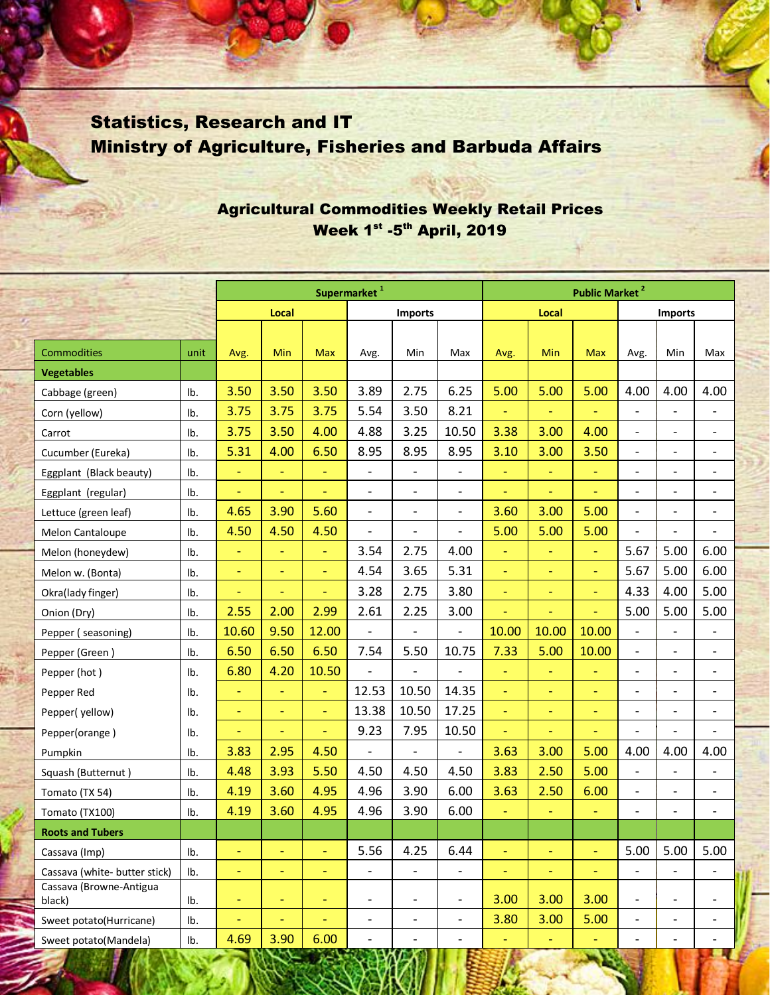## Statistics, Research and IT Ministry of Agriculture, Fisheries and Barbuda Affairs

## Agricultural Commodities Weekly Retail Prices Week 1st -5th April, 2019

|                                   |      | Supermarket <sup>1</sup> |                          |                          |                          |                              | <b>Public Market<sup>2</sup></b> |                |                |                |                          |                              |                          |
|-----------------------------------|------|--------------------------|--------------------------|--------------------------|--------------------------|------------------------------|----------------------------------|----------------|----------------|----------------|--------------------------|------------------------------|--------------------------|
|                                   |      | Local                    |                          |                          | <b>Imports</b>           |                              |                                  | Local          |                |                | <b>Imports</b>           |                              |                          |
|                                   |      |                          |                          |                          |                          |                              |                                  |                |                |                |                          |                              |                          |
| Commodities                       | unit | Avg.                     | Min                      | <b>Max</b>               | Avg.                     | Min                          | Max                              | Avg.           | Min            | <b>Max</b>     | Avg.                     | Min                          | Max                      |
| <b>Vegetables</b>                 |      |                          |                          |                          |                          |                              |                                  |                |                |                |                          |                              |                          |
| Cabbage (green)                   | Ib.  | 3.50                     | 3.50                     | 3.50                     | 3.89                     | 2.75                         | 6.25                             | 5.00           | 5.00           | 5.00           | 4.00                     | 4.00                         | 4.00                     |
| Corn (yellow)                     | Ib.  | 3.75                     | 3.75                     | 3.75                     | 5.54                     | 3.50                         | 8.21                             | ÷,             |                |                | $\qquad \qquad -$        | $\overline{\phantom{a}}$     |                          |
| Carrot                            | Ib.  | 3.75                     | 3.50                     | 4.00                     | 4.88                     | 3.25                         | 10.50                            | 3.38           | 3.00           | 4.00           | $\qquad \qquad -$        | $\overline{\phantom{a}}$     | $\overline{\phantom{a}}$ |
| Cucumber (Eureka)                 | Ib.  | 5.31                     | 4.00                     | 6.50                     | 8.95                     | 8.95                         | 8.95                             | 3.10           | 3.00           | 3.50           | $\overline{a}$           | $\qquad \qquad -$            | $\overline{\phantom{a}}$ |
| Eggplant (Black beauty)           | Ib.  | ÷,                       | Ξ                        | ÷,                       | $\overline{a}$           | $\overline{\phantom{a}}$     | $\overline{\phantom{m}}$         | $\equiv$       | $\Box$         | $\equiv$       | $\overline{a}$           | $\qquad \qquad -$            | $\overline{\phantom{a}}$ |
| Eggplant (regular)                | Ib.  | ÷                        | ÷                        | Ξ                        |                          | $\overline{\phantom{a}}$     | $\qquad \qquad -$                | ٠              | $\blacksquare$ |                | $\overline{a}$           | $\overline{\phantom{a}}$     | $\qquad \qquad -$        |
| Lettuce (green leaf)              | Ib.  | 4.65                     | 3.90                     | 5.60                     | $\overline{\phantom{a}}$ | $\overline{\phantom{a}}$     | $\overline{\phantom{a}}$         | 3.60           | 3.00           | 5.00           | $\overline{a}$           | $\overline{\phantom{a}}$     | $\overline{\phantom{a}}$ |
| Melon Cantaloupe                  | Ib.  | 4.50                     | 4.50                     | 4.50                     | $\overline{a}$           | $\overline{\phantom{a}}$     | $\overline{a}$                   | 5.00           | 5.00           | 5.00           | $\overline{a}$           | $\qquad \qquad -$            | $\overline{a}$           |
| Melon (honeydew)                  | Ib.  | Ξ                        | ÷                        | Ξ                        | 3.54                     | 2.75                         | 4.00                             | $\blacksquare$ | $\blacksquare$ | $\blacksquare$ | 5.67                     | 5.00                         | 6.00                     |
| Melon w. (Bonta)                  | Ib.  | $\equiv$                 | $\blacksquare$           | Ξ                        | 4.54                     | 3.65                         | 5.31                             | $\Box$         | $\blacksquare$ | $\equiv$       | 5.67                     | 5.00                         | 6.00                     |
| Okra(lady finger)                 | Ib.  | $\equiv$                 | $\blacksquare$           | Ξ                        | 3.28                     | 2.75                         | 3.80                             | $\equiv$       | $\equiv$       | $\equiv$       | 4.33                     | 4.00                         | 5.00                     |
| Onion (Dry)                       | Ib.  | 2.55                     | 2.00                     | 2.99                     | 2.61                     | 2.25                         | 3.00                             | ÷,             |                |                | 5.00                     | 5.00                         | 5.00                     |
| Pepper (seasoning)                | Ib.  | 10.60                    | 9.50                     | 12.00                    | $\overline{\phantom{0}}$ | $\overline{\phantom{a}}$     | $\overline{\phantom{a}}$         | 10.00          | 10.00          | 10.00          | $\overline{\phantom{m}}$ | $\overline{\phantom{m}}$     | $\overline{\phantom{0}}$ |
| Pepper (Green)                    | Ib.  | 6.50                     | 6.50                     | 6.50                     | 7.54                     | 5.50                         | 10.75                            | 7.33           | 5.00           | 10.00          | $\overline{\phantom{a}}$ | $\overline{\phantom{a}}$     | $\overline{\phantom{a}}$ |
| Pepper (hot)                      | Ib.  | 6.80                     | 4.20                     | 10.50                    |                          | $\overline{\phantom{a}}$     |                                  | $\equiv$       | $\blacksquare$ | $\blacksquare$ | $\overline{a}$           | $\overline{\phantom{a}}$     | $\overline{a}$           |
| Pepper Red                        | Ib.  | $\Box$                   | Ξ                        | Ξ                        | 12.53                    | 10.50                        | 14.35                            | $\Box$         | $\blacksquare$ | $\blacksquare$ | $\qquad \qquad -$        | $\qquad \qquad \blacksquare$ | $\overline{\phantom{a}}$ |
| Pepper(yellow)                    | Ib.  | $\blacksquare$           | $\blacksquare$           | $\blacksquare$           | 13.38                    | 10.50                        | 17.25                            | $\equiv$       | $\blacksquare$ | $\equiv$       | $\overline{\phantom{0}}$ | $\overline{\phantom{a}}$     | $\overline{\phantom{a}}$ |
| Pepper(orange)                    | Ib.  | $\blacksquare$           | ٠                        | $\blacksquare$           | 9.23                     | 7.95                         | 10.50                            | $\equiv$       | $\blacksquare$ | Ξ              |                          | $\overline{a}$               | $\overline{a}$           |
| Pumpkin                           | Ib.  | 3.83                     | 2.95                     | 4.50                     | $\overline{\phantom{0}}$ | $\overline{\phantom{a}}$     | $\overline{a}$                   | 3.63           | 3.00           | 5.00           | 4.00                     | 4.00                         | 4.00                     |
| Squash (Butternut)                | Ib.  | 4.48                     | 3.93                     | 5.50                     | 4.50                     | 4.50                         | 4.50                             | 3.83           | 2.50           | 5.00           | $\qquad \qquad -$        | $\qquad \qquad \blacksquare$ | $\overline{\phantom{a}}$ |
| Tomato (TX 54)                    | Ib.  | 4.19                     | 3.60                     | 4.95                     | 4.96                     | 3.90                         | 6.00                             | 3.63           | 2.50           | 6.00           | $\overline{a}$           | $\overline{\phantom{a}}$     | $\overline{\phantom{a}}$ |
| Tomato (TX100)                    | Ib.  | 4.19                     | 3.60                     | 4.95                     | 4.96                     | 3.90                         | 6.00                             | Ξ              |                | $\blacksquare$ | $\qquad \qquad -$        | $\overline{\phantom{a}}$     | $\overline{a}$           |
| <b>Roots and Tubers</b>           |      |                          |                          |                          |                          |                              |                                  |                |                |                |                          |                              |                          |
| Cassava (Imp)                     | Ib.  | $\overline{\phantom{0}}$ | ÷,                       | $\overline{\phantom{a}}$ | 5.56                     | 4.25                         | 6.44                             | $\blacksquare$ | $\blacksquare$ | $\blacksquare$ | 5.00                     | 5.00                         | 5.00                     |
| Cassava (white- butter stick)     | Ib.  | $\blacksquare$           | ÷                        | $\blacksquare$           | $\overline{a}$           | $\qquad \qquad \blacksquare$ | $\overline{\phantom{a}}$         | $\equiv$       | $\blacksquare$ | $\blacksquare$ | $\overline{\phantom{0}}$ | $\overline{\phantom{0}}$     | $\overline{\phantom{0}}$ |
| Cassava (Browne-Antigua<br>black) | Ib.  | Ξ                        | ٠                        | ٠                        | $\overline{\phantom{0}}$ | $\qquad \qquad -$            | $\qquad \qquad \blacksquare$     | 3.00           | 3.00           | 3.00           | $\qquad \qquad -$        | $\overline{\phantom{a}}$     | $\overline{\phantom{a}}$ |
| Sweet potato(Hurricane)           | lb.  | ÷,                       | $\overline{\phantom{0}}$ | ٠                        | $\overline{\phantom{a}}$ | $\overline{\phantom{a}}$     | $\overline{\phantom{a}}$         | 3.80           | 3.00           | 5.00           | $\overline{\phantom{0}}$ | $\overline{\phantom{a}}$     | $\qquad \qquad -$        |
| Sweet potato(Mandela)             | Ib.  | 4.69                     | 3.90                     | 6.00                     | $\overline{\phantom{a}}$ | $\overline{\phantom{a}}$     | $\overline{\phantom{a}}$         | ÷,             |                | $\blacksquare$ | $\qquad \qquad -$        | $\overline{\phantom{a}}$     | $\overline{\phantom{a}}$ |